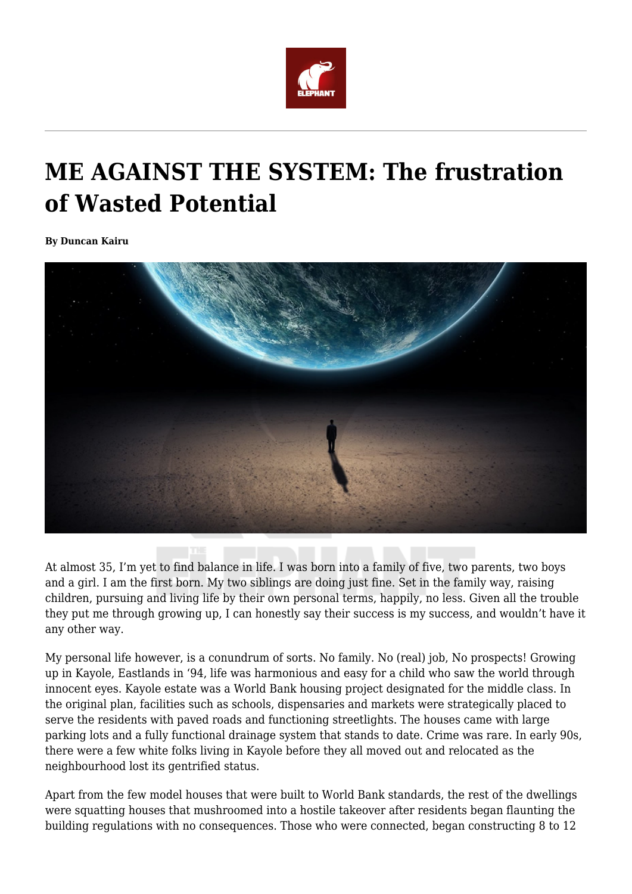

## **ME AGAINST THE SYSTEM: The frustration of Wasted Potential**

**By Duncan Kairu**



At almost 35, I'm yet to find balance in life. I was born into a family of five, two parents, two boys and a girl. I am the first born. My two siblings are doing just fine. Set in the family way, raising children, pursuing and living life by their own personal terms, happily, no less. Given all the trouble they put me through growing up, I can honestly say their success is my success, and wouldn't have it any other way.

My personal life however, is a conundrum of sorts. No family. No (real) job, No prospects! Growing up in Kayole, Eastlands in '94, life was harmonious and easy for a child who saw the world through innocent eyes. Kayole estate was a World Bank housing project designated for the middle class. In the original plan, facilities such as schools, dispensaries and markets were strategically placed to serve the residents with paved roads and functioning streetlights. The houses came with large parking lots and a fully functional drainage system that stands to date. Crime was rare. In early 90s, there were a few white folks living in Kayole before they all moved out and relocated as the neighbourhood lost its gentrified status.

Apart from the few model houses that were built to World Bank standards, the rest of the dwellings were squatting houses that mushroomed into a hostile takeover after residents began flaunting the building regulations with no consequences. Those who were connected, began constructing 8 to 12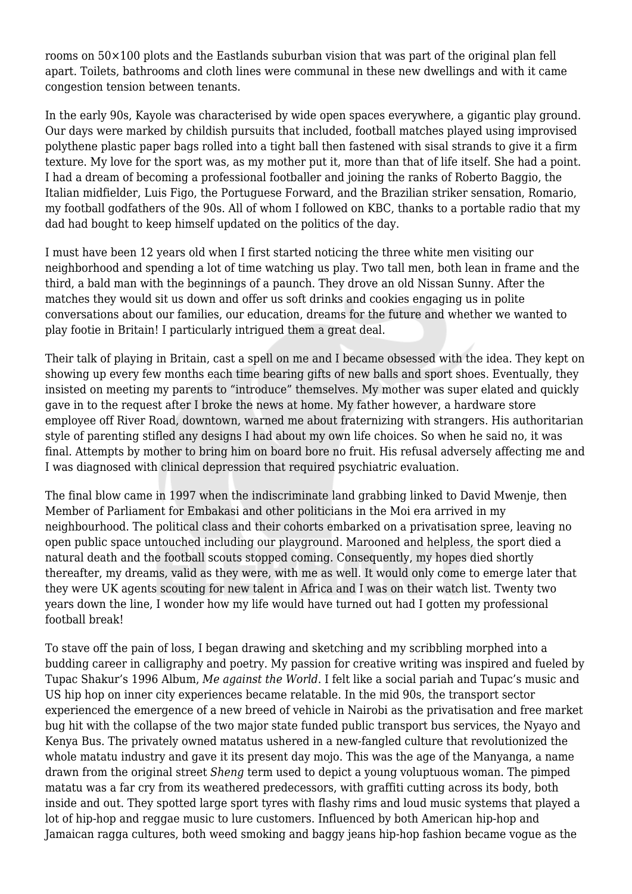rooms on 50×100 plots and the Eastlands suburban vision that was part of the original plan fell apart. Toilets, bathrooms and cloth lines were communal in these new dwellings and with it came congestion tension between tenants.

In the early 90s, Kayole was characterised by wide open spaces everywhere, a gigantic play ground. Our days were marked by childish pursuits that included, football matches played using improvised polythene plastic paper bags rolled into a tight ball then fastened with sisal strands to give it a firm texture. My love for the sport was, as my mother put it, more than that of life itself. She had a point. I had a dream of becoming a professional footballer and joining the ranks of Roberto Baggio, the Italian midfielder, Luis Figo, the Portuguese Forward, and the Brazilian striker sensation, Romario, my football godfathers of the 90s. All of whom I followed on KBC, thanks to a portable radio that my dad had bought to keep himself updated on the politics of the day.

I must have been 12 years old when I first started noticing the three white men visiting our neighborhood and spending a lot of time watching us play. Two tall men, both lean in frame and the third, a bald man with the beginnings of a paunch. They drove an old Nissan Sunny. After the matches they would sit us down and offer us soft drinks and cookies engaging us in polite conversations about our families, our education, dreams for the future and whether we wanted to play footie in Britain! I particularly intrigued them a great deal.

Their talk of playing in Britain, cast a spell on me and I became obsessed with the idea. They kept on showing up every few months each time bearing gifts of new balls and sport shoes. Eventually, they insisted on meeting my parents to "introduce" themselves. My mother was super elated and quickly gave in to the request after I broke the news at home. My father however, a hardware store employee off River Road, downtown, warned me about fraternizing with strangers. His authoritarian style of parenting stifled any designs I had about my own life choices. So when he said no, it was final. Attempts by mother to bring him on board bore no fruit. His refusal adversely affecting me and I was diagnosed with clinical depression that required psychiatric evaluation.

The final blow came in 1997 when the indiscriminate land grabbing linked to David Mwenje, then Member of Parliament for Embakasi and other politicians in the Moi era arrived in my neighbourhood. The political class and their cohorts embarked on a privatisation spree, leaving no open public space untouched including our playground. Marooned and helpless, the sport died a natural death and the football scouts stopped coming. Consequently, my hopes died shortly thereafter, my dreams, valid as they were, with me as well. It would only come to emerge later that they were UK agents scouting for new talent in Africa and I was on their watch list. Twenty two years down the line, I wonder how my life would have turned out had I gotten my professional football break!

To stave off the pain of loss, I began drawing and sketching and my scribbling morphed into a budding career in calligraphy and poetry. My passion for creative writing was inspired and fueled by Tupac Shakur's 1996 Album, *Me against the World*. I felt like a social pariah and Tupac's music and US hip hop on inner city experiences became relatable. In the mid 90s, the transport sector experienced the emergence of a new breed of vehicle in Nairobi as the privatisation and free market bug hit with the collapse of the two major state funded public transport bus services, the Nyayo and Kenya Bus. The privately owned matatus ushered in a new-fangled culture that revolutionized the whole matatu industry and gave it its present day mojo. This was the age of the Manyanga, a name drawn from the original street *Sheng* term used to depict a young voluptuous woman. The pimped matatu was a far cry from its weathered predecessors, with graffiti cutting across its body, both inside and out. They spotted large sport tyres with flashy rims and loud music systems that played a lot of hip-hop and reggae music to lure customers. Influenced by both American hip-hop and Jamaican ragga cultures, both weed smoking and baggy jeans hip-hop fashion became vogue as the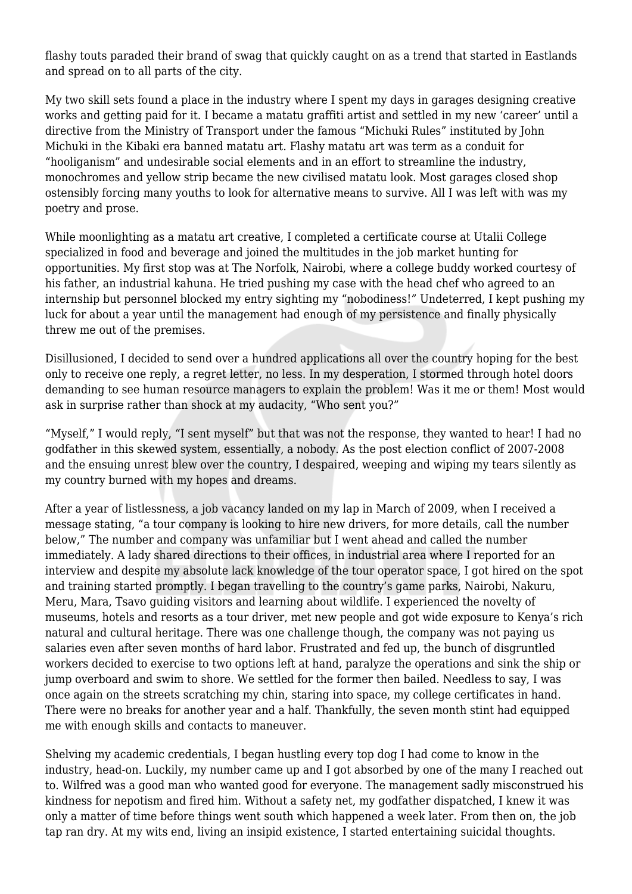flashy touts paraded their brand of swag that quickly caught on as a trend that started in Eastlands and spread on to all parts of the city.

My two skill sets found a place in the industry where I spent my days in garages designing creative works and getting paid for it. I became a matatu graffiti artist and settled in my new 'career' until a directive from the Ministry of Transport under the famous "Michuki Rules" instituted by John Michuki in the Kibaki era banned matatu art. Flashy matatu art was term as a conduit for "hooliganism" and undesirable social elements and in an effort to streamline the industry, monochromes and yellow strip became the new civilised matatu look. Most garages closed shop ostensibly forcing many youths to look for alternative means to survive. All I was left with was my poetry and prose.

While moonlighting as a matatu art creative, I completed a certificate course at Utalii College specialized in food and beverage and joined the multitudes in the job market hunting for opportunities. My first stop was at The Norfolk, Nairobi, where a college buddy worked courtesy of his father, an industrial kahuna. He tried pushing my case with the head chef who agreed to an internship but personnel blocked my entry sighting my "nobodiness!" Undeterred, I kept pushing my luck for about a year until the management had enough of my persistence and finally physically threw me out of the premises.

Disillusioned, I decided to send over a hundred applications all over the country hoping for the best only to receive one reply, a regret letter, no less. In my desperation, I stormed through hotel doors demanding to see human resource managers to explain the problem! Was it me or them! Most would ask in surprise rather than shock at my audacity, "Who sent you?"

"Myself," I would reply, "I sent myself" but that was not the response, they wanted to hear! I had no godfather in this skewed system, essentially, a nobody. As the post election conflict of 2007-2008 and the ensuing unrest blew over the country, I despaired, weeping and wiping my tears silently as my country burned with my hopes and dreams.

After a year of listlessness, a job vacancy landed on my lap in March of 2009, when I received a message stating, "a tour company is looking to hire new drivers, for more details, call the number below," The number and company was unfamiliar but I went ahead and called the number immediately. A lady shared directions to their offices, in industrial area where I reported for an interview and despite my absolute lack knowledge of the tour operator space, I got hired on the spot and training started promptly. I began travelling to the country's game parks, Nairobi, Nakuru, Meru, Mara, Tsavo guiding visitors and learning about wildlife. I experienced the novelty of museums, hotels and resorts as a tour driver, met new people and got wide exposure to Kenya's rich natural and cultural heritage. There was one challenge though, the company was not paying us salaries even after seven months of hard labor. Frustrated and fed up, the bunch of disgruntled workers decided to exercise to two options left at hand, paralyze the operations and sink the ship or jump overboard and swim to shore. We settled for the former then bailed. Needless to say, I was once again on the streets scratching my chin, staring into space, my college certificates in hand. There were no breaks for another year and a half. Thankfully, the seven month stint had equipped me with enough skills and contacts to maneuver.

Shelving my academic credentials, I began hustling every top dog I had come to know in the industry, head-on. Luckily, my number came up and I got absorbed by one of the many I reached out to. Wilfred was a good man who wanted good for everyone. The management sadly misconstrued his kindness for nepotism and fired him. Without a safety net, my godfather dispatched, I knew it was only a matter of time before things went south which happened a week later. From then on, the job tap ran dry. At my wits end, living an insipid existence, I started entertaining suicidal thoughts.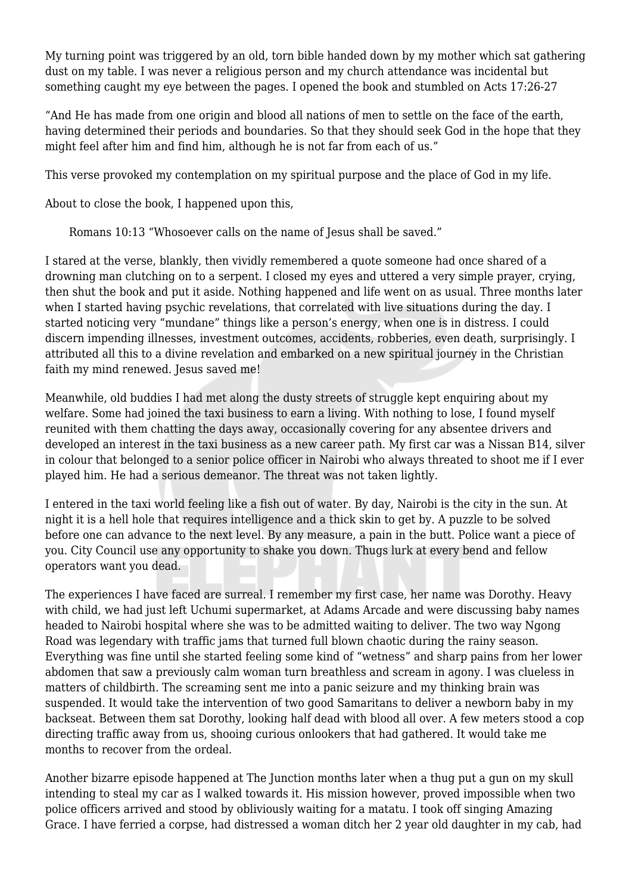My turning point was triggered by an old, torn bible handed down by my mother which sat gathering dust on my table. I was never a religious person and my church attendance was incidental but something caught my eye between the pages. I opened the book and stumbled on Acts 17:26-27

"And He has made from one origin and blood all nations of men to settle on the face of the earth, having determined their periods and boundaries. So that they should seek God in the hope that they might feel after him and find him, although he is not far from each of us."

This verse provoked my contemplation on my spiritual purpose and the place of God in my life.

About to close the book, I happened upon this,

Romans 10:13 "Whosoever calls on the name of Jesus shall be saved."

I stared at the verse, blankly, then vividly remembered a quote someone had once shared of a drowning man clutching on to a serpent. I closed my eyes and uttered a very simple prayer, crying, then shut the book and put it aside. Nothing happened and life went on as usual. Three months later when I started having psychic revelations, that correlated with live situations during the day. I started noticing very "mundane" things like a person's energy, when one is in distress. I could discern impending illnesses, investment outcomes, accidents, robberies, even death, surprisingly. I attributed all this to a divine revelation and embarked on a new spiritual journey in the Christian faith my mind renewed. Jesus saved me!

Meanwhile, old buddies I had met along the dusty streets of struggle kept enquiring about my welfare. Some had joined the taxi business to earn a living. With nothing to lose, I found myself reunited with them chatting the days away, occasionally covering for any absentee drivers and developed an interest in the taxi business as a new career path. My first car was a Nissan B14, silver in colour that belonged to a senior police officer in Nairobi who always threated to shoot me if I ever played him. He had a serious demeanor. The threat was not taken lightly.

I entered in the taxi world feeling like a fish out of water. By day, Nairobi is the city in the sun. At night it is a hell hole that requires intelligence and a thick skin to get by. A puzzle to be solved before one can advance to the next level. By any measure, a pain in the butt. Police want a piece of you. City Council use any opportunity to shake you down. Thugs lurk at every bend and fellow operators want you dead.

The experiences I have faced are surreal. I remember my first case, her name was Dorothy. Heavy with child, we had just left Uchumi supermarket, at Adams Arcade and were discussing baby names headed to Nairobi hospital where she was to be admitted waiting to deliver. The two way Ngong Road was legendary with traffic jams that turned full blown chaotic during the rainy season. Everything was fine until she started feeling some kind of "wetness" and sharp pains from her lower abdomen that saw a previously calm woman turn breathless and scream in agony. I was clueless in matters of childbirth. The screaming sent me into a panic seizure and my thinking brain was suspended. It would take the intervention of two good Samaritans to deliver a newborn baby in my backseat. Between them sat Dorothy, looking half dead with blood all over. A few meters stood a cop directing traffic away from us, shooing curious onlookers that had gathered. It would take me months to recover from the ordeal.

Another bizarre episode happened at The Junction months later when a thug put a gun on my skull intending to steal my car as I walked towards it. His mission however, proved impossible when two police officers arrived and stood by obliviously waiting for a matatu. I took off singing Amazing Grace. I have ferried a corpse, had distressed a woman ditch her 2 year old daughter in my cab, had